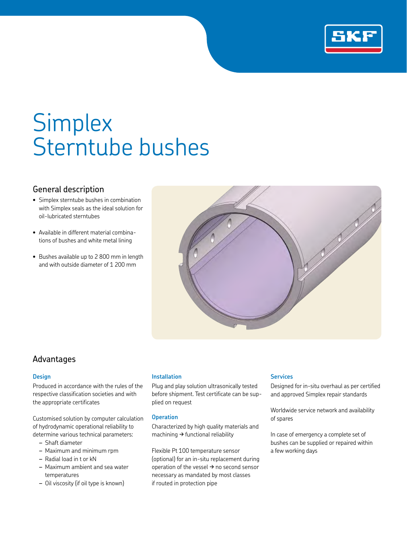

# **Simplex** Sterntube bushes

## General description

- Simplex sterntube bushes in combination with Simplex seals as the ideal solution for oil-lubricated sterntubes
- Available in different material combinations of bushes and white metal lining
- Bushes available up to 2 800 mm in length and with outside diameter of 1 200 mm



## Advantages

### **Design**

Produced in accordance with the rules of the respective classification societies and with the appropriate certificates

Customised solution by computer calculation of hydrodynamic operational reliability to determine various technical parameters:

- *–* Shaft diameter
- *–* Maximum and minimum rpm
- *–* Radial load in t or kN
- *–* Maximum ambient and sea water temperatures
- *–* Oil viscosity (if oil type is known)

### **Installation**

Plug and play solution ultrasonically tested before shipment. Test certificate can be supplied on request

## **Operation**

Characterized by high quality materials and machining  $\rightarrow$  functional reliability

Flexible Pt 100 temperature sensor (optional) for an in-situ replacement during operation of the vessel  $\rightarrow$  no second sensor necessary as mandated by most classes if routed in protection pipe

### **Services**

Designed for in-situ overhaul as per certified and approved Simplex repair standards

Worldwide service network and availability of spares

In case of emergency a complete set of bushes can be supplied or repaired within a few working days